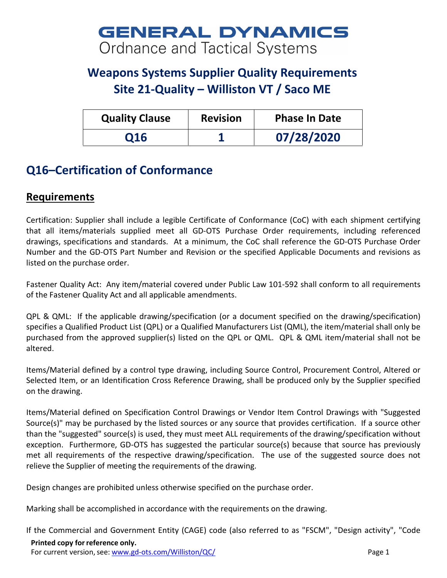## **GENERAL DYNAMICS** Ordnance and Tactical Systems

## **Weapons Systems Supplier Quality Requirements Site 21-Quality – Williston VT / Saco ME**

| <b>Quality Clause</b> | <b>Revision</b> | <b>Phase In Date</b> |
|-----------------------|-----------------|----------------------|
| <b>Q16</b>            |                 | 07/28/2020           |

## **Q16–Certification of Conformance**

## **Requirements**

Certification: Supplier shall include a legible Certificate of Conformance (CoC) with each shipment certifying that all items/materials supplied meet all GD-OTS Purchase Order requirements, including referenced drawings, specifications and standards. At a minimum, the CoC shall reference the GD-OTS Purchase Order Number and the GD-OTS Part Number and Revision or the specified Applicable Documents and revisions as listed on the purchase order.

Fastener Quality Act: Any item/material covered under Public Law 101-592 shall conform to all requirements of the Fastener Quality Act and all applicable amendments.

QPL & QML: If the applicable drawing/specification (or a document specified on the drawing/specification) specifies a Qualified Product List (QPL) or a Qualified Manufacturers List (QML), the item/material shall only be purchased from the approved supplier(s) listed on the QPL or QML. QPL & QML item/material shall not be altered.

Items/Material defined by a control type drawing, including Source Control, Procurement Control, Altered or Selected Item, or an Identification Cross Reference Drawing, shall be produced only by the Supplier specified on the drawing.

Items/Material defined on Specification Control Drawings or Vendor Item Control Drawings with "Suggested Source(s)" may be purchased by the listed sources or any source that provides certification. If a source other than the "suggested" source(s) is used, they must meet ALL requirements of the drawing/specification without exception. Furthermore, GD-OTS has suggested the particular source(s) because that source has previously met all requirements of the respective drawing/specification. The use of the suggested source does not relieve the Supplier of meeting the requirements of the drawing.

Design changes are prohibited unless otherwise specified on the purchase order.

Marking shall be accomplished in accordance with the requirements on the drawing.

If the Commercial and Government Entity (CAGE) code (also referred to as "FSCM", "Design activity", "Code